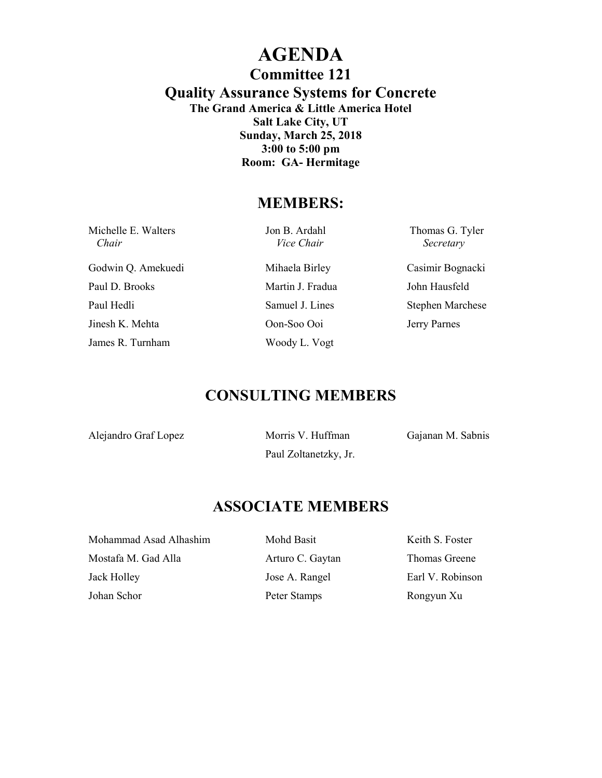# **AGENDA**

**Committee 121** 

**Quality Assurance Systems for Concrete** 

**The Grand America & Little America Hotel Salt Lake City, UT Sunday, March 25, 2018 3:00 to 5:00 pm Room: GA- Hermitage** 

### **MEMBERS:**

| Michelle E. Walters<br>Chair | Jon B. Ardahl<br><i>Vice Chair</i> | Thomas G. Tyler<br>Secretary |
|------------------------------|------------------------------------|------------------------------|
| Godwin Q. Amekuedi           | Mihaela Birley                     | Casimir Bognacki             |
| Paul D. Brooks               | Martin J. Fradua                   | John Hausfeld                |
| Paul Hedli                   | Samuel J. Lines                    | <b>Stephen Marchese</b>      |
| Jinesh K. Mehta              | Oon-Soo Ooi                        | Jerry Parnes                 |
| James R. Turnham             | Woody L. Vogt                      |                              |

## **CONSULTING MEMBERS**

Alejandro Graf Lopez Morris V. Huffman Gajanan M. Sabnis

Paul Zoltanetzky, Jr.

# **ASSOCIATE MEMBERS**

Mohammad Asad Alhashim Mohd Basit Keith S. Foster Mostafa M. Gad Alla **Arturo C. Gaytan** Thomas Greene Jack Holley Jose A. Rangel Earl V. Robinson Johan Schor Peter Stamps Rongyun Xu